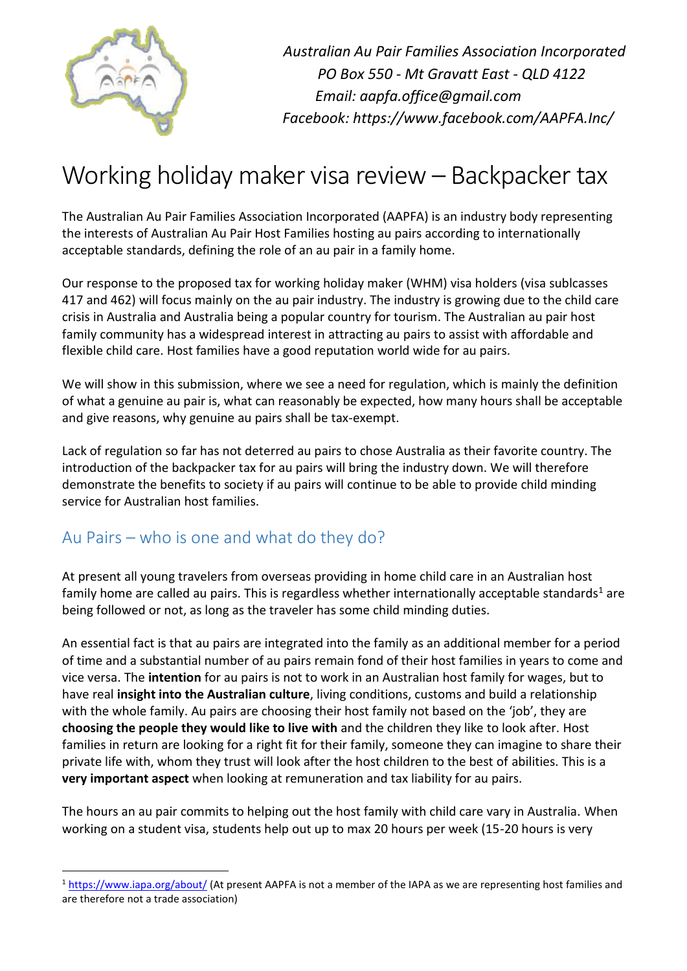

 $\overline{a}$ 

*Australian Au Pair Families Association Incorporated PO Box 550 - Mt Gravatt East - QLD 4122 Email: aapfa.office@gmail.com Facebook: https://www.facebook.com/AAPFA.Inc/*

# Working holiday maker visa review – Backpacker tax

The Australian Au Pair Families Association Incorporated (AAPFA) is an industry body representing the interests of Australian Au Pair Host Families hosting au pairs according to internationally acceptable standards, defining the role of an au pair in a family home.

Our response to the proposed tax for working holiday maker (WHM) visa holders (visa sublcasses 417 and 462) will focus mainly on the au pair industry. The industry is growing due to the child care crisis in Australia and Australia being a popular country for tourism. The Australian au pair host family community has a widespread interest in attracting au pairs to assist with affordable and flexible child care. Host families have a good reputation world wide for au pairs.

We will show in this submission, where we see a need for regulation, which is mainly the definition of what a genuine au pair is, what can reasonably be expected, how many hours shall be acceptable and give reasons, why genuine au pairs shall be tax-exempt.

Lack of regulation so far has not deterred au pairs to chose Australia as their favorite country. The introduction of the backpacker tax for au pairs will bring the industry down. We will therefore demonstrate the benefits to society if au pairs will continue to be able to provide child minding service for Australian host families.

## Au Pairs – who is one and what do they do?

At present all young travelers from overseas providing in home child care in an Australian host family home are called au pairs. This is regardless whether internationally acceptable standards<sup>1</sup> are being followed or not, as long as the traveler has some child minding duties.

An essential fact is that au pairs are integrated into the family as an additional member for a period of time and a substantial number of au pairs remain fond of their host families in years to come and vice versa. The **intention** for au pairs is not to work in an Australian host family for wages, but to have real **insight into the Australian culture**, living conditions, customs and build a relationship with the whole family. Au pairs are choosing their host family not based on the 'job', they are **choosing the people they would like to live with** and the children they like to look after. Host families in return are looking for a right fit for their family, someone they can imagine to share their private life with, whom they trust will look after the host children to the best of abilities. This is a **very important aspect** when looking at remuneration and tax liability for au pairs.

The hours an au pair commits to helping out the host family with child care vary in Australia. When working on a student visa, students help out up to max 20 hours per week (15-20 hours is very

<sup>&</sup>lt;sup>1</sup> <https://www.iapa.org/about/> (At present AAPFA is not a member of the IAPA as we are representing host families and are therefore not a trade association)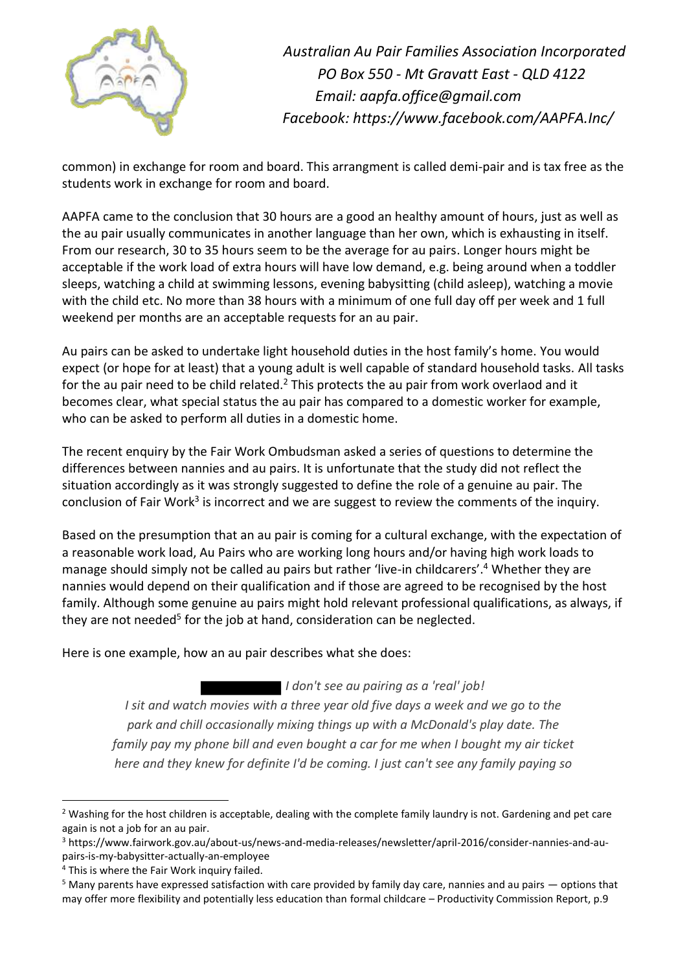

common) in exchange for room and board. This arrangment is called demi-pair and is tax free as the students work in exchange for room and board.

AAPFA came to the conclusion that 30 hours are a good an healthy amount of hours, just as well as the au pair usually communicates in another language than her own, which is exhausting in itself. From our research, 30 to 35 hours seem to be the average for au pairs. Longer hours might be acceptable if the work load of extra hours will have low demand, e.g. being around when a toddler sleeps, watching a child at swimming lessons, evening babysitting (child asleep), watching a movie with the child etc. No more than 38 hours with a minimum of one full day off per week and 1 full weekend per months are an acceptable requests for an au pair.

Au pairs can be asked to undertake light household duties in the host family's home. You would expect (or hope for at least) that a young adult is well capable of standard household tasks. All tasks for the au pair need to be child related.<sup>2</sup> This protects the au pair from work overlaod and it becomes clear, what special status the au pair has compared to a domestic worker for example, who can be asked to perform all duties in a domestic home.

The recent enquiry by the Fair Work Ombudsman asked a series of questions to determine the differences between nannies and au pairs. It is unfortunate that the study did not reflect the situation accordingly as it was strongly suggested to define the role of a genuine au pair. The conclusion of Fair Work<sup>3</sup> is incorrect and we are suggest to review the comments of the inquiry.

Based on the presumption that an au pair is coming for a cultural exchange, with the expectation of a reasonable work load, Au Pairs who are working long hours and/or having high work loads to manage should simply not be called au pairs but rather 'live-in childcarers'.<sup>4</sup> Whether they are nannies would depend on their qualification and if those are agreed to be recognised by the host family. Although some genuine au pairs might hold relevant professional qualifications, as always, if they are not needed<sup>5</sup> for the job at hand, consideration can be neglected.

Here is one example, how an au pair describes what she does:

 *I don't see au pairing as a 'real' job! I sit and watch movies with a three year old five days a week and we go to the park and chill occasionally mixing things up with a McDonald's play date. The family pay my phone bill and even bought a car for me when I bought my air ticket here and they knew for definite I'd be coming. I just can't see any family paying so* 

<sup>&</sup>lt;sup>2</sup> Washing for the host children is acceptable, dealing with the complete family laundry is not. Gardening and pet care again is not a job for an au pair.

<sup>3</sup> https://www.fairwork.gov.au/about-us/news-and-media-releases/newsletter/april-2016/consider-nannies-and-aupairs-is-my-babysitter-actually-an-employee

<sup>&</sup>lt;sup>4</sup> This is where the Fair Work inquiry failed.

<sup>&</sup>lt;sup>5</sup> Many parents have expressed satisfaction with care provided by family day care, nannies and au pairs — options that may offer more flexibility and potentially less education than formal childcare – Productivity Commission Report, p.9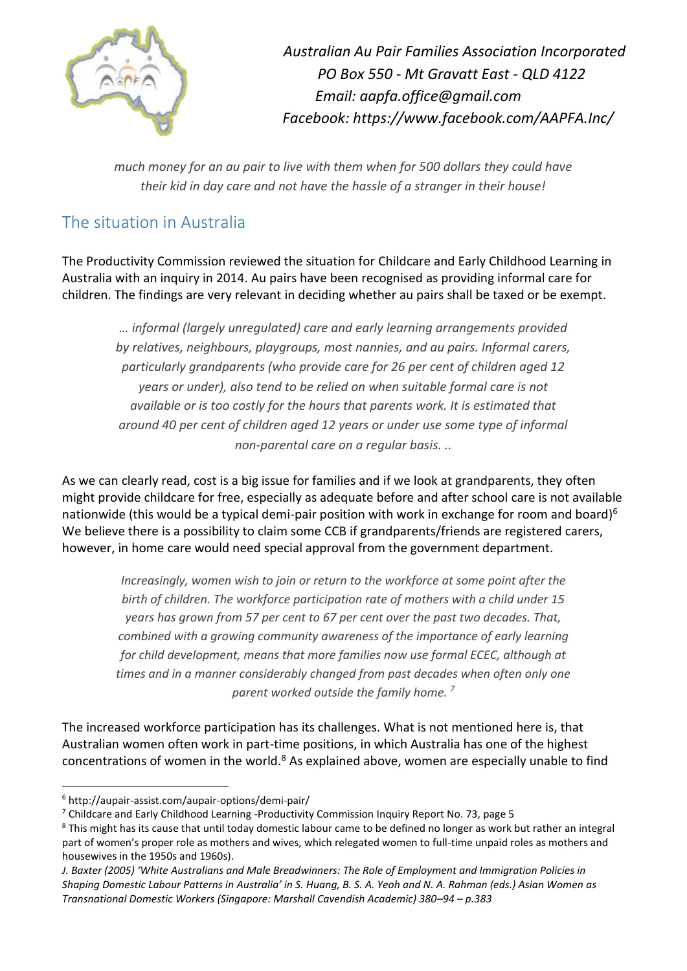

*much money for an au pair to live with them when for 500 dollars they could have their kid in day care and not have the hassle of a stranger in their house!*

## The situation in Australia

The Productivity Commission reviewed the situation for Childcare and Early Childhood Learning in Australia with an inquiry in 2014. Au pairs have been recognised as providing informal care for children. The findings are very relevant in deciding whether au pairs shall be taxed or be exempt.

*… informal (largely unregulated) care and early learning arrangements provided by relatives, neighbours, playgroups, most nannies, and au pairs. Informal carers, particularly grandparents (who provide care for 26 per cent of children aged 12 years or under), also tend to be relied on when suitable formal care is not available or is too costly for the hours that parents work. It is estimated that around 40 per cent of children aged 12 years or under use some type of informal non-parental care on a regular basis. ..*

As we can clearly read, cost is a big issue for families and if we look at grandparents, they often might provide childcare for free, especially as adequate before and after school care is not available nationwide (this would be a typical demi-pair position with work in exchange for room and board)<sup>6</sup> We believe there is a possibility to claim some CCB if grandparents/friends are registered carers, however, in home care would need special approval from the government department.

*Increasingly, women wish to join or return to the workforce at some point after the birth of children. The workforce participation rate of mothers with a child under 15 years has grown from 57 per cent to 67 per cent over the past two decades. That, combined with a growing community awareness of the importance of early learning for child development, means that more families now use formal ECEC, although at times and in a manner considerably changed from past decades when often only one parent worked outside the family home. <sup>7</sup>*

The increased workforce participation has its challenges. What is not mentioned here is, that Australian women often work in part-time positions, in which Australia has one of the highest concentrations of women in the world.<sup>8</sup> As explained above, women are especially unable to find

 $\overline{a}$ <sup>6</sup> http://aupair-assist.com/aupair-options/demi-pair/

<sup>7</sup> Childcare and Early Childhood Learning -Productivity Commission Inquiry Report No. 73, page 5

<sup>&</sup>lt;sup>8</sup> This might has its cause that until today domestic labour came to be defined no longer as work but rather an integral part of women's proper role as mothers and wives, which relegated women to full-time unpaid roles as mothers and housewives in the 1950s and 1960s).

*J. Baxter (2005) 'White Australians and Male Breadwinners: The Role of Employment and Immigration Policies in Shaping Domestic Labour Patterns in Australia' in S. Huang, B. S. A. Yeoh and N. A. Rahman (eds.) Asian Women as Transnational Domestic Workers (Singapore: Marshall Cavendish Academic) 380–94 – p.383*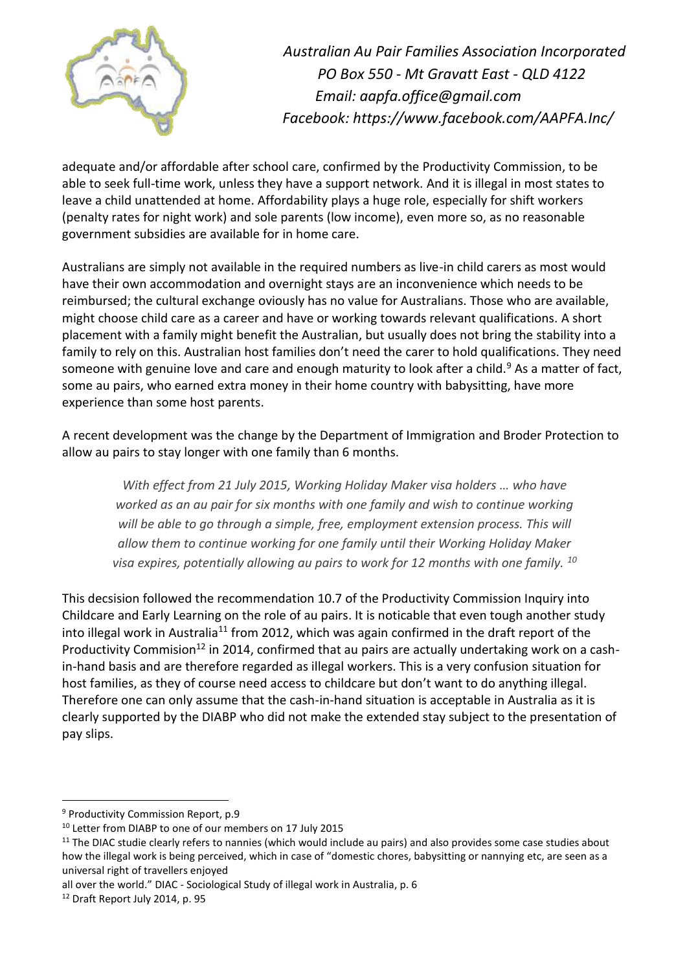

adequate and/or affordable after school care, confirmed by the Productivity Commission, to be able to seek full-time work, unless they have a support network. And it is illegal in most states to leave a child unattended at home. Affordability plays a huge role, especially for shift workers (penalty rates for night work) and sole parents (low income), even more so, as no reasonable government subsidies are available for in home care.

Australians are simply not available in the required numbers as live-in child carers as most would have their own accommodation and overnight stays are an inconvenience which needs to be reimbursed; the cultural exchange oviously has no value for Australians. Those who are available, might choose child care as a career and have or working towards relevant qualifications. A short placement with a family might benefit the Australian, but usually does not bring the stability into a family to rely on this. Australian host families don't need the carer to hold qualifications. They need someone with genuine love and care and enough maturity to look after a child.<sup>9</sup> As a matter of fact, some au pairs, who earned extra money in their home country with babysitting, have more experience than some host parents.

A recent development was the change by the Department of Immigration and Broder Protection to allow au pairs to stay longer with one family than 6 months.

*With effect from 21 July 2015, Working Holiday Maker visa holders … who have worked as an au pair for six months with one family and wish to continue working will be able to go through a simple, free, employment extension process. This will allow them to continue working for one family until their Working Holiday Maker visa expires, potentially allowing au pairs to work for 12 months with one family. <sup>10</sup>*

This decsision followed the recommendation 10.7 of the Productivity Commission Inquiry into Childcare and Early Learning on the role of au pairs. It is noticable that even tough another study into illegal work in Australia<sup>11</sup> from 2012, which was again confirmed in the draft report of the Productivity Commision<sup>12</sup> in 2014, confirmed that au pairs are actually undertaking work on a cashin-hand basis and are therefore regarded as illegal workers. This is a very confusion situation for host families, as they of course need access to childcare but don't want to do anything illegal. Therefore one can only assume that the cash-in-hand situation is acceptable in Australia as it is clearly supported by the DIABP who did not make the extended stay subject to the presentation of pay slips.

<sup>9</sup> Productivity Commission Report, p.9

<sup>10</sup> Letter from DIABP to one of our members on 17 July 2015

 $11$  The DIAC studie clearly refers to nannies (which would include au pairs) and also provides some case studies about how the illegal work is being perceived, which in case of "domestic chores, babysitting or nannying etc, are seen as a universal right of travellers enjoyed

all over the world." DIAC - Sociological Study of illegal work in Australia, p. 6

<sup>12</sup> Draft Report July 2014, p. 95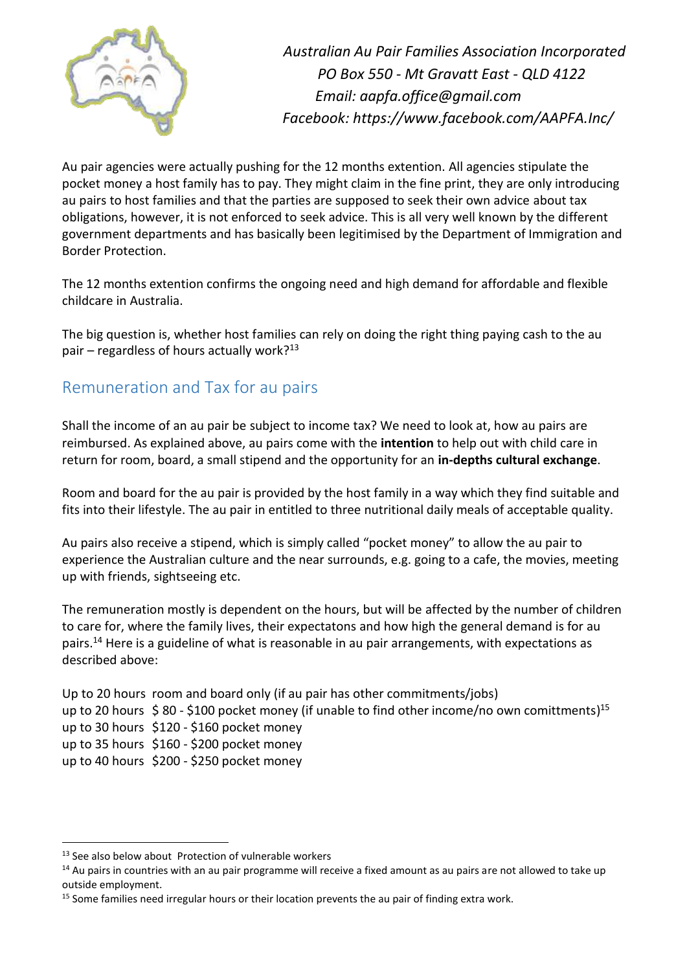

Au pair agencies were actually pushing for the 12 months extention. All agencies stipulate the pocket money a host family has to pay. They might claim in the fine print, they are only introducing au pairs to host families and that the parties are supposed to seek their own advice about tax obligations, however, it is not enforced to seek advice. This is all very well known by the different government departments and has basically been legitimised by the Department of Immigration and Border Protection.

The 12 months extention confirms the ongoing need and high demand for affordable and flexible childcare in Australia.

The big question is, whether host families can rely on doing the right thing paying cash to the au pair – regardless of hours actually work? $13$ 

### Remuneration and Tax for au pairs

Shall the income of an au pair be subject to income tax? We need to look at, how au pairs are reimbursed. As explained above, au pairs come with the **intention** to help out with child care in return for room, board, a small stipend and the opportunity for an **in-depths cultural exchange**.

Room and board for the au pair is provided by the host family in a way which they find suitable and fits into their lifestyle. The au pair in entitled to three nutritional daily meals of acceptable quality.

Au pairs also receive a stipend, which is simply called "pocket money" to allow the au pair to experience the Australian culture and the near surrounds, e.g. going to a cafe, the movies, meeting up with friends, sightseeing etc.

The remuneration mostly is dependent on the hours, but will be affected by the number of children to care for, where the family lives, their expectatons and how high the general demand is for au pairs.<sup>14</sup> Here is a guideline of what is reasonable in au pair arrangements, with expectations as described above:

Up to 20 hours room and board only (if au pair has other commitments/jobs) up to 20 hours \$80 - \$100 pocket money (if unable to find other income/no own comittments)<sup>15</sup> up to 30 hours \$120 - \$160 pocket money up to 35 hours \$160 - \$200 pocket money up to 40 hours \$200 - \$250 pocket money

<sup>&</sup>lt;sup>13</sup> See also below about [Protection of vulnerable workers](#page-8-0)

 $14$  Au pairs in countries with an au pair programme will receive a fixed amount as au pairs are not allowed to take up outside employment.

<sup>&</sup>lt;sup>15</sup> Some families need irregular hours or their location prevents the au pair of finding extra work.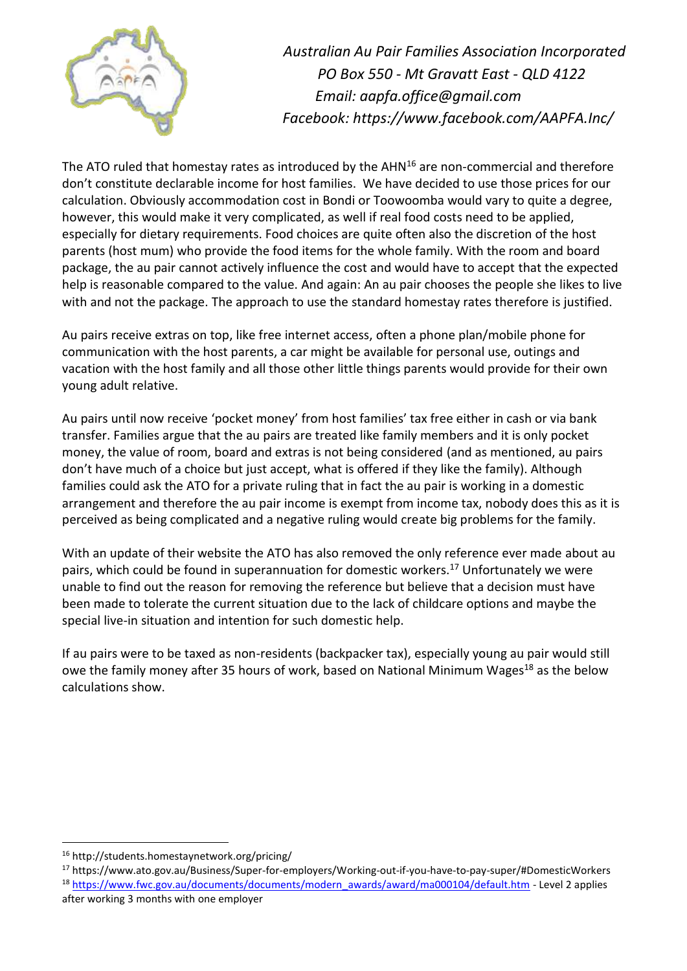

The ATO ruled that homestay rates as introduced by the  $AHN<sup>16</sup>$  are non-commercial and therefore don't constitute declarable income for host families. We have decided to use those prices for our calculation. Obviously accommodation cost in Bondi or Toowoomba would vary to quite a degree, however, this would make it very complicated, as well if real food costs need to be applied, especially for dietary requirements. Food choices are quite often also the discretion of the host parents (host mum) who provide the food items for the whole family. With the room and board package, the au pair cannot actively influence the cost and would have to accept that the expected help is reasonable compared to the value. And again: An au pair chooses the people she likes to live with and not the package. The approach to use the standard homestay rates therefore is justified.

Au pairs receive extras on top, like free internet access, often a phone plan/mobile phone for communication with the host parents, a car might be available for personal use, outings and vacation with the host family and all those other little things parents would provide for their own young adult relative.

Au pairs until now receive 'pocket money' from host families' tax free either in cash or via bank transfer. Families argue that the au pairs are treated like family members and it is only pocket money, the value of room, board and extras is not being considered (and as mentioned, au pairs don't have much of a choice but just accept, what is offered if they like the family). Although families could ask the ATO for a private ruling that in fact the au pair is working in a domestic arrangement and therefore the au pair income is exempt from income tax, nobody does this as it is perceived as being complicated and a negative ruling would create big problems for the family.

With an update of their website the ATO has also removed the only reference ever made about au pairs, which could be found in superannuation for domestic workers.<sup>17</sup> Unfortunately we were unable to find out the reason for removing the reference but believe that a decision must have been made to tolerate the current situation due to the lack of childcare options and maybe the special live-in situation and intention for such domestic help.

If au pairs were to be taxed as non-residents (backpacker tax), especially young au pair would still owe the family money after 35 hours of work, based on National Minimum Wages<sup>18</sup> as the below calculations show.

<sup>16</sup> http://students.homestaynetwork.org/pricing/

<sup>17</sup> https://www.ato.gov.au/Business/Super-for-employers/Working-out-if-you-have-to-pay-super/#DomesticWorkers

<sup>&</sup>lt;sup>18</sup> [https://www.fwc.gov.au/documents/documents/modern\\_awards/award/ma000104/default.htm](https://www.fwc.gov.au/documents/documents/modern_awards/award/ma000104/default.htm) - Level 2 applies after working 3 months with one employer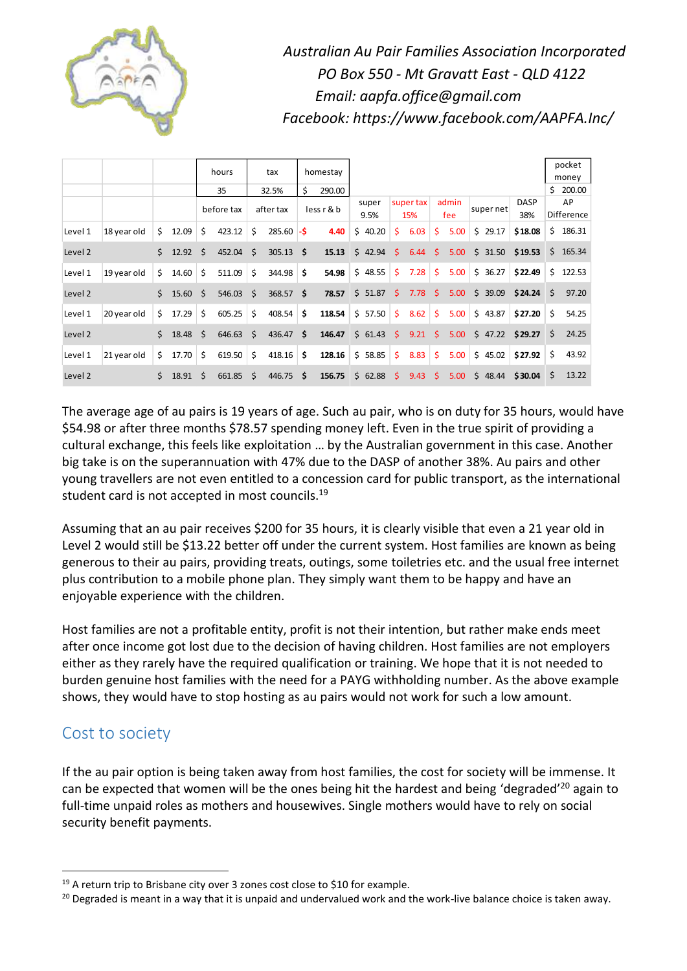

|         |             |    |                  |            | hours  | tax       |              | homestay    |        |               |                  |      |              |      |           |         |                    |                  | pocket<br>money |
|---------|-------------|----|------------------|------------|--------|-----------|--------------|-------------|--------|---------------|------------------|------|--------------|------|-----------|---------|--------------------|------------------|-----------------|
|         |             |    |                  | 35         |        | 32.5%     |              | Ś<br>290.00 |        |               |                  |      |              |      |           |         |                    | Ś.               | 200.00          |
|         |             |    |                  | before tax |        | after tax |              | less r & b  |        | super<br>9.5% | super tax<br>15% |      | admin<br>fee |      | super net |         | <b>DASP</b><br>38% | AP<br>Difference |                 |
| Level 1 | 18 year old | Ś. | 12.09            | \$         | 423.12 | \$        | $285.60 - $$ |             | 4.40   | \$40.20       | \$               | 6.03 | \$           | 5.00 |           | \$29.17 | \$18.08            | \$.              | 186.31          |
| Level 2 |             | Ś. | $12.92 \quad$ \$ |            | 452.04 | \$        | $305.13$ \$  |             | 15.13  | \$42.94       | Ŝ.               | 6.44 | Ś.           | 5.00 |           | \$31.50 | \$19.53            |                  | \$165.34        |
| Level 1 | 19 year old | Ś. | 14.60            | \$         | 511.09 | \$        | 344.98       | \$          | 54.98  | \$48.55       | Ŝ.               | 7.28 | Ŝ.           | 5.00 |           | \$36.27 | \$22.49            |                  | \$122.53        |
| Level 2 |             | Ś. | 15.60            | $\leq$     | 546.03 | \$        | 368.57 \$    |             | 78.57  | \$51.87       | Ŝ.               | 7.78 | \$           | 5.00 |           | \$39.09 | \$24.24            | Ŝ.               | 97.20           |
| Level 1 | 20 year old | Ś. | 17.29            | Ŝ.         | 605.25 | \$        | 408.54       | \$          | 118.54 | \$57.50       | \$               | 8.62 | \$.          | 5.00 |           | \$43.87 | \$27.20            | \$               | 54.25           |
| Level 2 |             | Ś. | 18.48            | -\$        | 646.63 | Ŝ.        | 436.47       | - \$        | 146.47 | \$61.43       | Ŝ.               | 9.21 | Ŝ.           | 5.00 |           |         | $$47.22$ $$29.27$  | \$               | 24.25           |
| Level 1 | 21 year old | Ś. | 17.70            | \$         | 619.50 | \$        | 418.16       | \$          | 128.16 | \$58.85       | \$               | 8.83 | Ŝ.           | 5.00 |           | \$45.02 | \$27.92            | Ś                | 43.92           |
| Level 2 |             | Ś. | $18.91 \quad $$  |            | 661.85 | Ŝ.        | 446.75       | \$          | 156.75 | \$62.88       | Ŝ.               | 9.43 | Š.           | 5.00 |           | 548.44  | \$30.04            | Ŝ.               | 13.22           |

The average age of au pairs is 19 years of age. Such au pair, who is on duty for 35 hours, would have \$54.98 or after three months \$78.57 spending money left. Even in the true spirit of providing a cultural exchange, this feels like exploitation … by the Australian government in this case. Another big take is on the superannuation with 47% due to the DASP of another 38%. Au pairs and other young travellers are not even entitled to a concession card for public transport, as the international student card is not accepted in most councils.<sup>19</sup>

Assuming that an au pair receives \$200 for 35 hours, it is clearly visible that even a 21 year old in Level 2 would still be \$13.22 better off under the current system. Host families are known as being generous to their au pairs, providing treats, outings, some toiletries etc. and the usual free internet plus contribution to a mobile phone plan. They simply want them to be happy and have an enjoyable experience with the children.

Host families are not a profitable entity, profit is not their intention, but rather make ends meet after once income got lost due to the decision of having children. Host families are not employers either as they rarely have the required qualification or training. We hope that it is not needed to burden genuine host families with the need for a PAYG withholding number. As the above example shows, they would have to stop hosting as au pairs would not work for such a low amount.

## Cost to society

 $\overline{a}$ 

If the au pair option is being taken away from host families, the cost for society will be immense. It can be expected that women will be the ones being hit the hardest and being 'degraded'<sup>20</sup> again to full-time unpaid roles as mothers and housewives. Single mothers would have to rely on social security benefit payments.

<sup>&</sup>lt;sup>19</sup> A return trip to Brisbane city over 3 zones cost close to \$10 for example.

<sup>&</sup>lt;sup>20</sup> Degraded is meant in a way that it is unpaid and undervalued work and the work-live balance choice is taken away.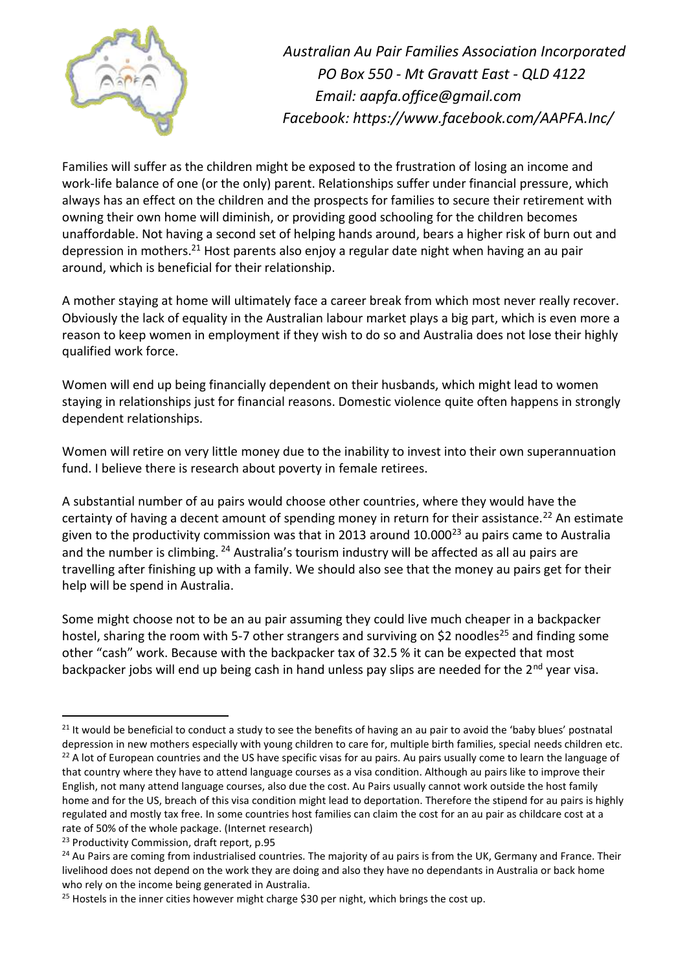

Families will suffer as the children might be exposed to the frustration of losing an income and work-life balance of one (or the only) parent. Relationships suffer under financial pressure, which always has an effect on the children and the prospects for families to secure their retirement with owning their own home will diminish, or providing good schooling for the children becomes unaffordable. Not having a second set of helping hands around, bears a higher risk of burn out and depression in mothers.<sup>21</sup> Host parents also enjoy a regular date night when having an au pair around, which is beneficial for their relationship.

A mother staying at home will ultimately face a career break from which most never really recover. Obviously the lack of equality in the Australian labour market plays a big part, which is even more a reason to keep women in employment if they wish to do so and Australia does not lose their highly qualified work force.

Women will end up being financially dependent on their husbands, which might lead to women staying in relationships just for financial reasons. Domestic violence quite often happens in strongly dependent relationships.

Women will retire on very little money due to the inability to invest into their own superannuation fund. I believe there is research about poverty in female retirees.

A substantial number of au pairs would choose other countries, where they would have the certainty of having a decent amount of spending money in return for their assistance.<sup>22</sup> An estimate given to the productivity commission was that in 2013 around  $10.000^{23}$  au pairs came to Australia and the number is climbing. <sup>24</sup> Australia's tourism industry will be affected as all au pairs are travelling after finishing up with a family. We should also see that the money au pairs get for their help will be spend in Australia.

Some might choose not to be an au pair assuming they could live much cheaper in a backpacker hostel, sharing the room with 5-7 other strangers and surviving on \$2 noodles<sup>25</sup> and finding some other "cash" work. Because with the backpacker tax of 32.5 % it can be expected that most backpacker jobs will end up being cash in hand unless pay slips are needed for the 2<sup>nd</sup> year visa.

 $21$  It would be beneficial to conduct a study to see the benefits of having an au pair to avoid the 'baby blues' postnatal depression in new mothers especially with young children to care for, multiple birth families, special needs children etc.  $22$  A lot of European countries and the US have specific visas for au pairs. Au pairs usually come to learn the language of that country where they have to attend language courses as a visa condition. Although au pairs like to improve their English, not many attend language courses, also due the cost. Au Pairs usually cannot work outside the host family home and for the US, breach of this visa condition might lead to deportation. Therefore the stipend for au pairs is highly regulated and mostly tax free. In some countries host families can claim the cost for an au pair as childcare cost at a rate of 50% of the whole package. (Internet research)

<sup>&</sup>lt;sup>23</sup> Productivity Commission, draft report, p.95

<sup>&</sup>lt;sup>24</sup> Au Pairs are coming from industrialised countries. The majority of au pairs is from the UK, Germany and France. Their livelihood does not depend on the work they are doing and also they have no dependants in Australia or back home who rely on the income being generated in Australia.

<sup>&</sup>lt;sup>25</sup> Hostels in the inner cities however might charge \$30 per night, which brings the cost up.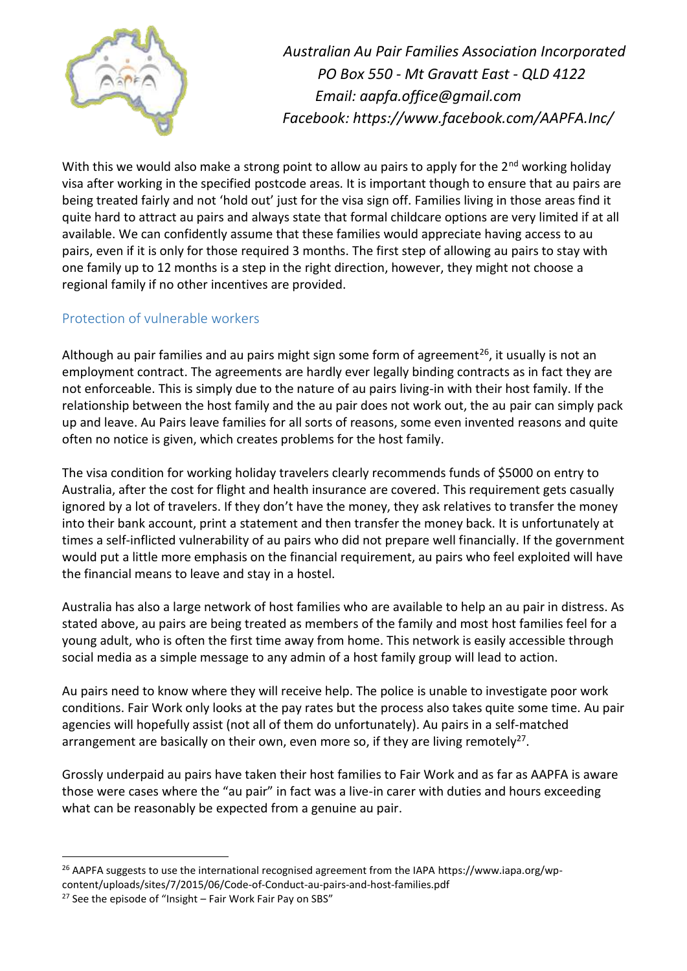

With this we would also make a strong point to allow au pairs to apply for the 2<sup>nd</sup> working holiday visa after working in the specified postcode areas. It is important though to ensure that au pairs are being treated fairly and not 'hold out' just for the visa sign off. Families living in those areas find it quite hard to attract au pairs and always state that formal childcare options are very limited if at all available. We can confidently assume that these families would appreciate having access to au pairs, even if it is only for those required 3 months. The first step of allowing au pairs to stay with one family up to 12 months is a step in the right direction, however, they might not choose a regional family if no other incentives are provided.

#### <span id="page-8-0"></span>Protection of vulnerable workers

Although au pair families and au pairs might sign some form of agreement<sup>26</sup>, it usually is not an employment contract. The agreements are hardly ever legally binding contracts as in fact they are not enforceable. This is simply due to the nature of au pairs living-in with their host family. If the relationship between the host family and the au pair does not work out, the au pair can simply pack up and leave. Au Pairs leave families for all sorts of reasons, some even invented reasons and quite often no notice is given, which creates problems for the host family.

The visa condition for working holiday travelers clearly recommends funds of \$5000 on entry to Australia, after the cost for flight and health insurance are covered. This requirement gets casually ignored by a lot of travelers. If they don't have the money, they ask relatives to transfer the money into their bank account, print a statement and then transfer the money back. It is unfortunately at times a self-inflicted vulnerability of au pairs who did not prepare well financially. If the government would put a little more emphasis on the financial requirement, au pairs who feel exploited will have the financial means to leave and stay in a hostel.

Australia has also a large network of host families who are available to help an au pair in distress. As stated above, au pairs are being treated as members of the family and most host families feel for a young adult, who is often the first time away from home. This network is easily accessible through social media as a simple message to any admin of a host family group will lead to action.

Au pairs need to know where they will receive help. The police is unable to investigate poor work conditions. Fair Work only looks at the pay rates but the process also takes quite some time. Au pair agencies will hopefully assist (not all of them do unfortunately). Au pairs in a self-matched arrangement are basically on their own, even more so, if they are living remotely<sup>27</sup>.

Grossly underpaid au pairs have taken their host families to Fair Work and as far as AAPFA is aware those were cases where the "au pair" in fact was a live-in carer with duties and hours exceeding what can be reasonably be expected from a genuine au pair.

 $\overline{a}$ <sup>26</sup> AAPFA suggests to use the international recognised agreement from the IAPA https://www.iapa.org/wp-

content/uploads/sites/7/2015/06/Code-of-Conduct-au-pairs-and-host-families.pdf

 $27$  See the episode of "Insight – Fair Work Fair Pay on SBS"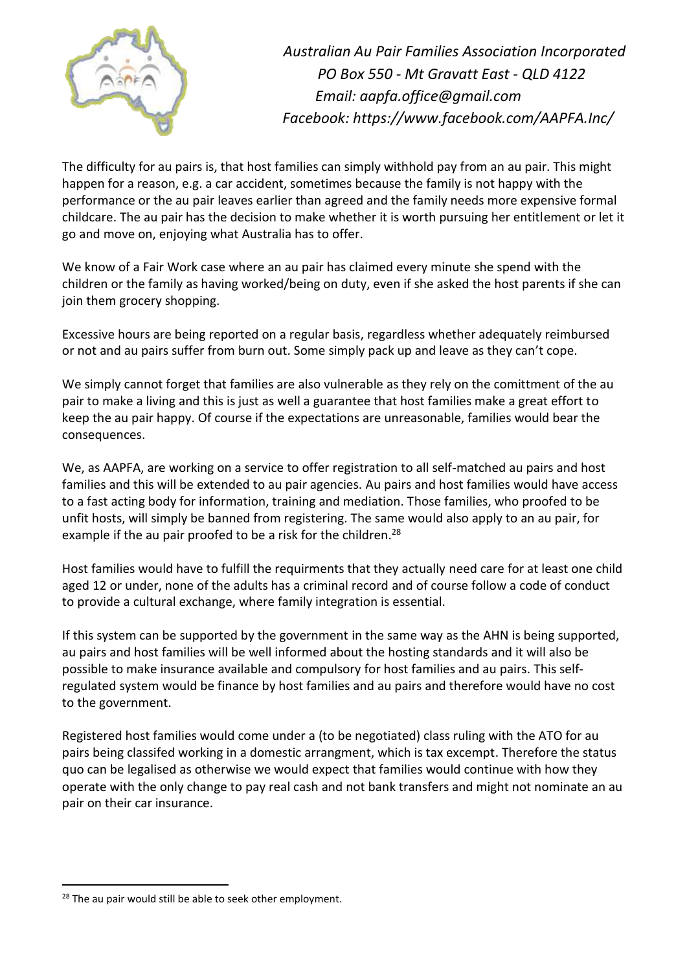

The difficulty for au pairs is, that host families can simply withhold pay from an au pair. This might happen for a reason, e.g. a car accident, sometimes because the family is not happy with the performance or the au pair leaves earlier than agreed and the family needs more expensive formal childcare. The au pair has the decision to make whether it is worth pursuing her entitlement or let it go and move on, enjoying what Australia has to offer.

We know of a Fair Work case where an au pair has claimed every minute she spend with the children or the family as having worked/being on duty, even if she asked the host parents if she can join them grocery shopping.

Excessive hours are being reported on a regular basis, regardless whether adequately reimbursed or not and au pairs suffer from burn out. Some simply pack up and leave as they can't cope.

We simply cannot forget that families are also vulnerable as they rely on the comittment of the au pair to make a living and this is just as well a guarantee that host families make a great effort to keep the au pair happy. Of course if the expectations are unreasonable, families would bear the consequences.

We, as AAPFA, are working on a service to offer registration to all self-matched au pairs and host families and this will be extended to au pair agencies. Au pairs and host families would have access to a fast acting body for information, training and mediation. Those families, who proofed to be unfit hosts, will simply be banned from registering. The same would also apply to an au pair, for example if the au pair proofed to be a risk for the children.<sup>28</sup>

Host families would have to fulfill the requirments that they actually need care for at least one child aged 12 or under, none of the adults has a criminal record and of course follow a code of conduct to provide a cultural exchange, where family integration is essential.

If this system can be supported by the government in the same way as the AHN is being supported, au pairs and host families will be well informed about the hosting standards and it will also be possible to make insurance available and compulsory for host families and au pairs. This selfregulated system would be finance by host families and au pairs and therefore would have no cost to the government.

Registered host families would come under a (to be negotiated) class ruling with the ATO for au pairs being classifed working in a domestic arrangment, which is tax excempt. Therefore the status quo can be legalised as otherwise we would expect that families would continue with how they operate with the only change to pay real cash and not bank transfers and might not nominate an au pair on their car insurance.

<sup>&</sup>lt;sup>28</sup> The au pair would still be able to seek other employment.